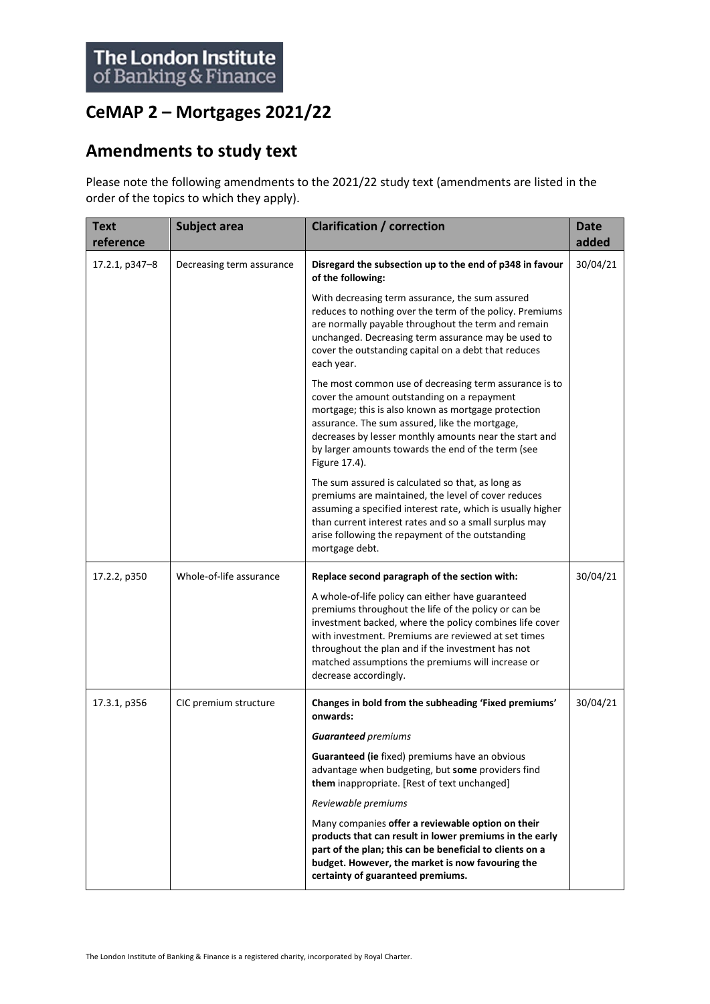## **CeMAP 2 – Mortgages 2021/22**

## **Amendments to study text**

Please note the following amendments to the 2021/22 study text (amendments are listed in the order of the topics to which they apply).

| <b>Text</b><br>reference | Subject area              | <b>Clarification / correction</b>                                                                                                                                                                                                                                                                                                                                                                               | <b>Date</b><br>added |
|--------------------------|---------------------------|-----------------------------------------------------------------------------------------------------------------------------------------------------------------------------------------------------------------------------------------------------------------------------------------------------------------------------------------------------------------------------------------------------------------|----------------------|
| 17.2.1, p347-8           | Decreasing term assurance | Disregard the subsection up to the end of p348 in favour<br>of the following:                                                                                                                                                                                                                                                                                                                                   | 30/04/21             |
|                          |                           | With decreasing term assurance, the sum assured<br>reduces to nothing over the term of the policy. Premiums<br>are normally payable throughout the term and remain<br>unchanged. Decreasing term assurance may be used to<br>cover the outstanding capital on a debt that reduces<br>each year.                                                                                                                 |                      |
|                          |                           | The most common use of decreasing term assurance is to<br>cover the amount outstanding on a repayment<br>mortgage; this is also known as mortgage protection<br>assurance. The sum assured, like the mortgage,<br>decreases by lesser monthly amounts near the start and<br>by larger amounts towards the end of the term (see<br>Figure 17.4).                                                                 |                      |
|                          |                           | The sum assured is calculated so that, as long as<br>premiums are maintained, the level of cover reduces<br>assuming a specified interest rate, which is usually higher<br>than current interest rates and so a small surplus may<br>arise following the repayment of the outstanding<br>mortgage debt.                                                                                                         |                      |
| 17.2.2, p350             | Whole-of-life assurance   | Replace second paragraph of the section with:<br>A whole-of-life policy can either have guaranteed<br>premiums throughout the life of the policy or can be<br>investment backed, where the policy combines life cover<br>with investment. Premiums are reviewed at set times<br>throughout the plan and if the investment has not<br>matched assumptions the premiums will increase or<br>decrease accordingly. | 30/04/21             |
| 17.3.1, p356             | CIC premium structure     | Changes in bold from the subheading 'Fixed premiums'<br>onwards:                                                                                                                                                                                                                                                                                                                                                | 30/04/21             |
|                          |                           | <b>Guaranteed</b> premiums                                                                                                                                                                                                                                                                                                                                                                                      |                      |
|                          |                           | Guaranteed (ie fixed) premiums have an obvious<br>advantage when budgeting, but some providers find<br>them inappropriate. [Rest of text unchanged]                                                                                                                                                                                                                                                             |                      |
|                          |                           | Reviewable premiums                                                                                                                                                                                                                                                                                                                                                                                             |                      |
|                          |                           | Many companies offer a reviewable option on their<br>products that can result in lower premiums in the early<br>part of the plan; this can be beneficial to clients on a<br>budget. However, the market is now favouring the<br>certainty of guaranteed premiums.                                                                                                                                               |                      |